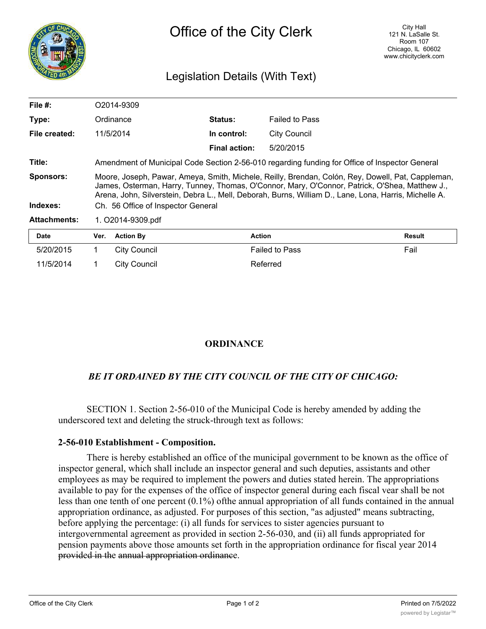

## Legislation Details (With Text)

| File $#$ :          | O2014-9309                                                                                                                                                                                                                                                                                                   |                      |                       |        |  |  |
|---------------------|--------------------------------------------------------------------------------------------------------------------------------------------------------------------------------------------------------------------------------------------------------------------------------------------------------------|----------------------|-----------------------|--------|--|--|
| Type:               | Ordinance                                                                                                                                                                                                                                                                                                    | <b>Status:</b>       | <b>Failed to Pass</b> |        |  |  |
| File created:       | 11/5/2014                                                                                                                                                                                                                                                                                                    | In control:          | <b>City Council</b>   |        |  |  |
|                     |                                                                                                                                                                                                                                                                                                              | <b>Final action:</b> | 5/20/2015             |        |  |  |
| Title:              | Amendment of Municipal Code Section 2-56-010 regarding funding for Office of Inspector General                                                                                                                                                                                                               |                      |                       |        |  |  |
| <b>Sponsors:</b>    | Moore, Joseph, Pawar, Ameya, Smith, Michele, Reilly, Brendan, Colón, Rey, Dowell, Pat, Cappleman,<br>James, Osterman, Harry, Tunney, Thomas, O'Connor, Mary, O'Connor, Patrick, O'Shea, Matthew J.,<br>Arena, John, Silverstein, Debra L., Mell, Deborah, Burns, William D., Lane, Lona, Harris, Michelle A. |                      |                       |        |  |  |
| Indexes:            | Ch. 56 Office of Inspector General                                                                                                                                                                                                                                                                           |                      |                       |        |  |  |
| <b>Attachments:</b> | 1. O2014-9309.pdf                                                                                                                                                                                                                                                                                            |                      |                       |        |  |  |
| <b>Date</b>         | <b>Action By</b><br>Ver.                                                                                                                                                                                                                                                                                     | <b>Action</b>        |                       | Result |  |  |
| 5/20/2015           | City Council                                                                                                                                                                                                                                                                                                 |                      | <b>Failed to Pass</b> | Fail   |  |  |

| 5/20/2015 | City Council | <b>Failed to Pass</b> | Fail |
|-----------|--------------|-----------------------|------|
| 11/5/2014 | City Council | Referred              |      |

## **ORDINANCE**

## *BE IT ORDAINED BY THE CITY COUNCIL OF THE CITY OF CHICAGO:*

SECTION 1. Section 2-56-010 of the Municipal Code is hereby amended by adding the underscored text and deleting the struck-through text as follows:

## **2-56-010 Establishment - Composition.**

There is hereby established an office of the municipal government to be known as the office of inspector general, which shall include an inspector general and such deputies, assistants and other employees as may be required to implement the powers and duties stated herein. The appropriations available to pay for the expenses of the office of inspector general during each fiscal vear shall be not less than one tenth of one percent (0.1%) ofthe annual appropriation of all funds contained in the annual appropriation ordinance, as adjusted. For purposes of this section, "as adjusted" means subtracting, before applying the percentage: (i) all funds for services to sister agencies pursuant to intergovernmental agreement as provided in section 2-56-030, and (ii) all funds appropriated for pension payments above those amounts set forth in the appropriation ordinance for fiscal year 2014 provided in the annual appropriation ordinance.